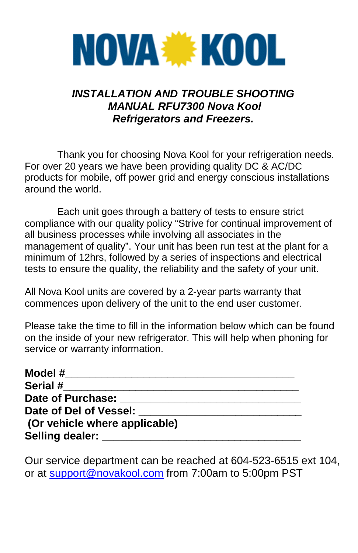# **NOVA WE KOOL**

## *INSTALLATION AND TROUBLE SHOOTING MANUAL RFU7300 Nova Kool Refrigerators and Freezers.*

Thank you for choosing Nova Kool for your refrigeration needs. For over 20 years we have been providing quality DC & AC/DC products for mobile, off power grid and energy conscious installations around the world.

Each unit goes through a battery of tests to ensure strict compliance with our quality policy "Strive for continual improvement of all business processes while involving all associates in the management of quality". Your unit has been run test at the plant for a minimum of 12hrs, followed by a series of inspections and electrical tests to ensure the quality, the reliability and the safety of your unit.

All Nova Kool units are covered by a 2-year parts warranty that commences upon delivery of the unit to the end user customer.

Please take the time to fill in the information below which can be found on the inside of your new refrigerator. This will help when phoning for service or warranty information.

| Model #                       |  |
|-------------------------------|--|
| Serial #                      |  |
| Date of Purchase:             |  |
| Date of Del of Vessel:        |  |
| (Or vehicle where applicable) |  |
| Selling dealer:               |  |

Our service department can be reached at 604-523-6515 ext 104, or at [support@novakool.com](mailto:support@novakool.com) from 7:00am to 5:00pm PST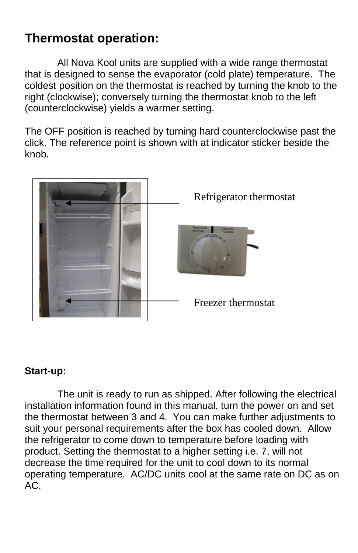## **Thermostat operation:**

All Nova Kool units are supplied with a wide range thermostat that is designed to sense the evaporator (cold plate) temperature. The coldest position on the thermostat is reached by turning the knob to the right (clockwise); conversely turning the thermostat knob to the left (counterclockwise) yields a warmer setting.

The OFF position is reached by turning hard counterclockwise past the click. The reference point is shown with at indicator sticker beside the knob.



#### **Start-up:**

The unit is ready to run as shipped. After following the electrical installation information found in this manual, turn the power on and set the thermostat between 3 and 4. You can make further adjustments to suit your personal requirements after the box has cooled down. Allow the refrigerator to come down to temperature before loading with product. Setting the thermostat to a higher setting i.e. 7, will not decrease the time required for the unit to cool down to its normal operating temperature. AC/DC units cool at the same rate on DC as on AC.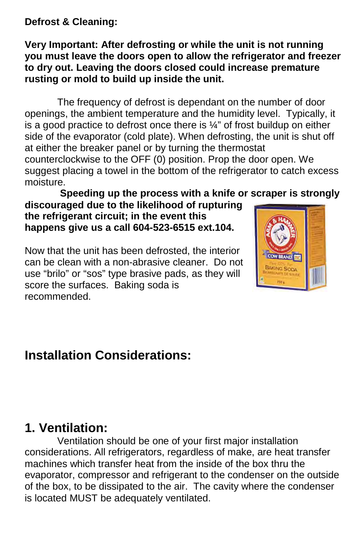**Defrost & Cleaning:**

#### **Very Important: After defrosting or while the unit is not running you must leave the doors open to allow the refrigerator and freezer to dry out. Leaving the doors closed could increase premature rusting or mold to build up inside the unit.**

The frequency of defrost is dependant on the number of door openings, the ambient temperature and the humidity level. Typically, it is a good practice to defrost once there is  $\frac{1}{4}$ " of frost buildup on either side of the evaporator (cold plate). When defrosting, the unit is shut off at either the breaker panel or by turning the thermostat

counterclockwise to the OFF (0) position. Prop the door open. We suggest placing a towel in the bottom of the refrigerator to catch excess moisture.

#### **Speeding up the process with a knife or scraper is strongly discouraged due to the likelihood of rupturing**

**the refrigerant circuit; in the event this happens give us a call 604-523-6515 ext.104.**

Now that the unit has been defrosted, the interior can be clean with a non-abrasive cleaner. Do not use "brilo" or "sos" type brasive pads, as they will score the surfaces. Baking soda is recommended.



## **Installation Considerations:**

## **1. Ventilation:**

Ventilation should be one of your first major installation considerations. All refrigerators, regardless of make, are heat transfer machines which transfer heat from the inside of the box thru the evaporator, compressor and refrigerant to the condenser on the outside of the box, to be dissipated to the air. The cavity where the condenser is located MUST be adequately ventilated.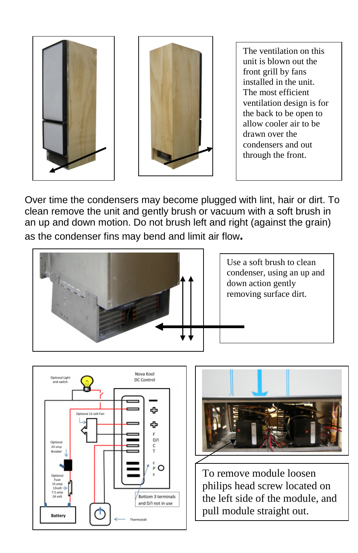



The ventilation on this unit is blown out the front grill by fans installed in the unit. The most efficient ventilation design is for the back to be open to allow cooler air to be drawn over the condensers and out through the front.

Over time the condensers may become plugged with lint, hair or dirt. To clean remove the unit and gently brush or vacuum with a soft brush in an up and down motion. Do not brush left and right (against the grain) as the condenser fins may bend and limit air flow**.**



Use a soft brush to clean condenser, using an up and down action gently removing surface dirt.





To remove module loosen philips head screw located on the left side of the module, and pull module straight out.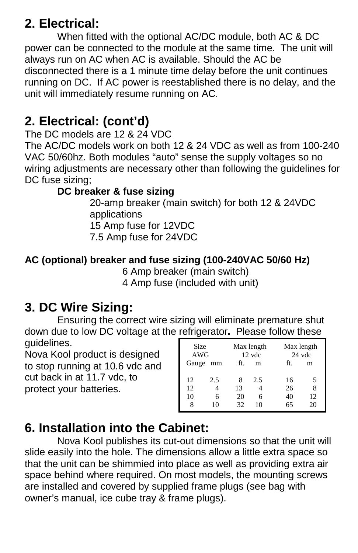## **2. Electrical:**

When fitted with the optional AC/DC module, both AC & DC power can be connected to the module at the same time. The unit will always run on AC when AC is available. Should the AC be disconnected there is a 1 minute time delay before the unit continues running on DC. If AC power is reestablished there is no delay, and the unit will immediately resume running on AC.

## **2. Electrical: (cont'd)**

The DC models are 12 & 24 VDC

The AC/DC models work on both 12 & 24 VDC as well as from 100-240 VAC 50/60hz. Both modules "auto" sense the supply voltages so no wiring adjustments are necessary other than following the guidelines for DC fuse sizing;

## **DC breaker & fuse sizing**

20-amp breaker (main switch) for both 12 & 24VDC applications 15 Amp fuse for 12VDC 7.5 Amp fuse for 24VDC

## **AC (optional) breaker and fuse sizing (100-240VAC 50/60 Hz)**

6 Amp breaker (main switch) 4 Amp fuse (included with unit)

# **3. DC Wire Sizing:**

Ensuring the correct wire sizing will eliminate premature shut down due to low DC voltage at the refrigerator**.** Please follow these guidelines.

Nova Kool product is designed to stop running at 10.6 vdc and cut back in at 11.7 vdc, to protect your batteries.

| <b>Size</b><br>AWG |          | Max length<br>Max length<br>12 vdc<br>24 vdc |     |          |         |
|--------------------|----------|----------------------------------------------|-----|----------|---------|
|                    | Gauge mm | ft.                                          | m   | ft.      | m       |
| 12                 | 2.5      | 8                                            | 2.5 | 16       | 5       |
| 12<br>10           | 6        | 13<br>20                                     | 6   | 26<br>40 | 8<br>12 |
|                    | 10       | 32                                           | 10  | 65       | 20      |

## **6. Installation into the Cabinet:**

Nova Kool publishes its cut-out dimensions so that the unit will slide easily into the hole. The dimensions allow a little extra space so that the unit can be shimmied into place as well as providing extra air space behind where required. On most models, the mounting screws are installed and covered by supplied frame plugs (see bag with owner's manual, ice cube tray & frame plugs).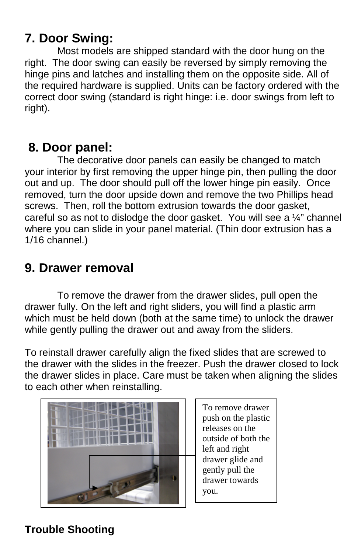## **7. Door Swing:**

Most models are shipped standard with the door hung on the right. The door swing can easily be reversed by simply removing the hinge pins and latches and installing them on the opposite side. All of the required hardware is supplied. Units can be factory ordered with the correct door swing (standard is right hinge: i.e. door swings from left to right).

## **8. Door panel:**

The decorative door panels can easily be changed to match your interior by first removing the upper hinge pin, then pulling the door out and up. The door should pull off the lower hinge pin easily. Once removed, turn the door upside down and remove the two Phillips head screws. Then, roll the bottom extrusion towards the door gasket, careful so as not to dislodge the door gasket. You will see a ¼" channel where you can slide in your panel material. (Thin door extrusion has a 1/16 channel.)

## **9. Drawer removal**

To remove the drawer from the drawer slides, pull open the drawer fully. On the left and right sliders, you will find a plastic arm which must be held down (both at the same time) to unlock the drawer while gently pulling the drawer out and away from the sliders.

To reinstall drawer carefully align the fixed slides that are screwed to the drawer with the slides in the freezer. Push the drawer closed to lock the drawer slides in place. Care must be taken when aligning the slides to each other when reinstalling.



To remove drawer push on the plastic releases on the outside of both the left and right drawer glide and gently pull the drawer towards

## **Trouble Shooting**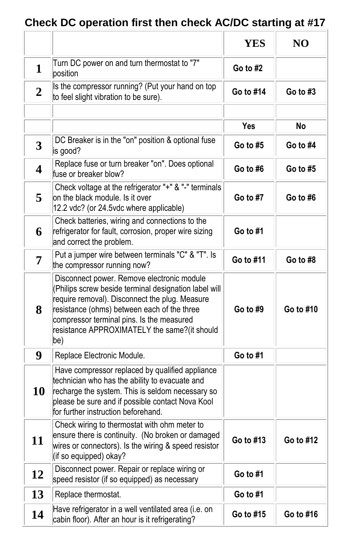# **Check DC operation first then check AC/DC starting at #17**

|                |                                                                                                                                                                                                                                                                                                          | <b>YES</b> | N <sub>O</sub> |
|----------------|----------------------------------------------------------------------------------------------------------------------------------------------------------------------------------------------------------------------------------------------------------------------------------------------------------|------------|----------------|
| 1              | Turn DC power on and turn thermostat to "7"<br>position                                                                                                                                                                                                                                                  | Go to $#2$ |                |
| $\overline{2}$ | Is the compressor running? (Put your hand on top<br>to feel slight vibration to be sure).                                                                                                                                                                                                                | Go to #14  | Go to $#3$     |
|                |                                                                                                                                                                                                                                                                                                          |            |                |
|                |                                                                                                                                                                                                                                                                                                          | Yes        | No             |
| 3              | DC Breaker is in the "on" position & optional fuse<br>is good?                                                                                                                                                                                                                                           | Go to $#5$ | Go to #4       |
| 4              | Replace fuse or turn breaker "on". Does optional<br>fuse or breaker blow?                                                                                                                                                                                                                                | Go to #6   | Go to #5       |
| 5              | Check voltage at the refrigerator "+" & "-" terminals<br>on the black module. Is it over<br>12.2 vdc? (or 24.5vdc where applicable)                                                                                                                                                                      | Go to #7   | Go to #6       |
| 6              | Check batteries, wiring and connections to the<br>refrigerator for fault, corrosion, proper wire sizing<br>and correct the problem.                                                                                                                                                                      | Go to #1   |                |
| 7              | Put a jumper wire between terminals "C" & "T". Is<br>the compressor running now?                                                                                                                                                                                                                         | Go to #11  | Go to #8       |
| 8              | Disconnect power. Remove electronic module<br>(Philips screw beside terminal designation label will<br>require removal). Disconnect the plug. Measure<br>resistance (ohms) between each of the three<br>compressor terminal pins. Is the measured<br>resistance APPROXIMATELY the same?(it should<br>(be | Go to #9   | Go to #10      |
| 9              | Replace Electronic Module.                                                                                                                                                                                                                                                                               | Go to #1   |                |
| 10             | Have compressor replaced by qualified appliance<br>technician who has the ability to evacuate and<br>recharge the system. This is seldom necessary so<br>please be sure and if possible contact Nova Kool<br>for further instruction beforehand.                                                         |            |                |
| 11             | Check wiring to thermostat with ohm meter to<br>ensure there is continuity. (No broken or damaged<br>wires or connectors). Is the wiring & speed resistor<br>(if so equipped) okay?                                                                                                                      | Go to #13  | Go to #12      |
| 12             | Disconnect power. Repair or replace wiring or<br>speed resistor (if so equipped) as necessary                                                                                                                                                                                                            | Go to #1   |                |
| 13             | Replace thermostat.                                                                                                                                                                                                                                                                                      | Go to #1   |                |
| 14             | Have refrigerator in a well ventilated area (i.e. on<br>cabin floor). After an hour is it refrigerating?                                                                                                                                                                                                 | Go to #15  | Go to #16      |